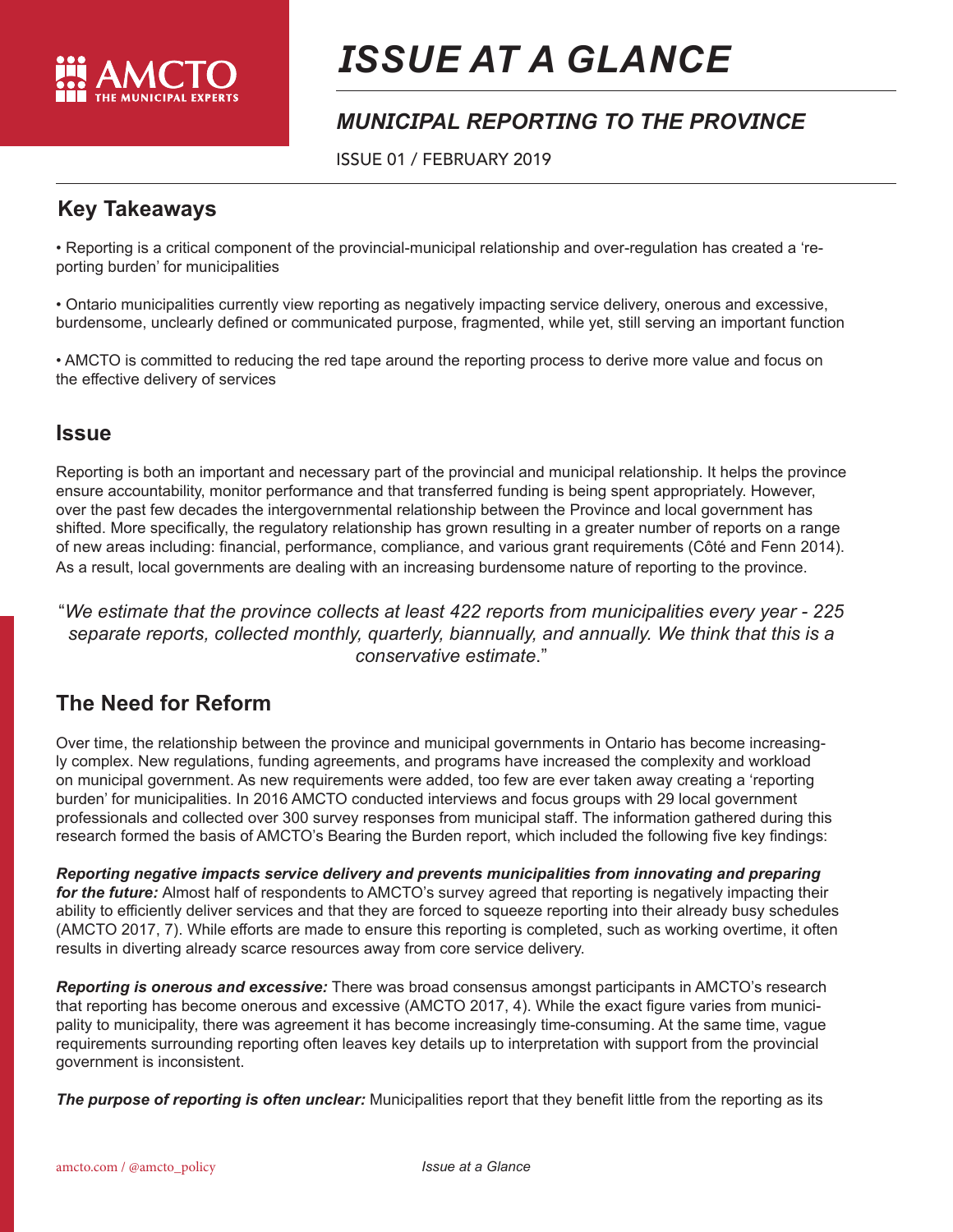

# *ISSUE AT A GLANCE*

## *MUNICIPAL REPORTING TO THE PROVINCE*

ISSUE 01 / FEBRUARY 2019

#### **Key Takeaways**

• Reporting is a critical component of the provincial-municipal relationship and over-regulation has created a 'reporting burden' for municipalities

• Ontario municipalities currently view reporting as negatively impacting service delivery, onerous and excessive, burdensome, unclearly defined or communicated purpose, fragmented, while yet, still serving an important function

• AMCTO is committed to reducing the red tape around the reporting process to derive more value and focus on the effective delivery of services

#### **Issue**

Reporting is both an important and necessary part of the provincial and municipal relationship. It helps the province ensure accountability, monitor performance and that transferred funding is being spent appropriately. However, over the past few decades the intergovernmental relationship between the Province and local government has shifted. More specifically, the regulatory relationship has grown resulting in a greater number of reports on a range of new areas including: financial, performance, compliance, and various grant requirements (Côté and Fenn 2014). As a result, local governments are dealing with an increasing burdensome nature of reporting to the province.

"*We estimate that the province collects at least 422 reports from municipalities every year - 225 separate reports, collected monthly, quarterly, biannually, and annually. We think that this is a conservative estimate*."

#### **The Need for Reform**

Over time, the relationship between the province and municipal governments in Ontario has become increasingly complex. New regulations, funding agreements, and programs have increased the complexity and workload on municipal government. As new requirements were added, too few are ever taken away creating a 'reporting burden' for municipalities. In 2016 AMCTO conducted interviews and focus groups with 29 local government professionals and collected over 300 survey responses from municipal staff. The information gathered during this research formed the basis of AMCTO's Bearing the Burden report, which included the following five key findings:

*Reporting negative impacts service delivery and prevents municipalities from innovating and preparing for the future:* Almost half of respondents to AMCTO's survey agreed that reporting is negatively impacting their ability to efficiently deliver services and that they are forced to squeeze reporting into their already busy schedules (AMCTO 2017, 7). While efforts are made to ensure this reporting is completed, such as working overtime, it often results in diverting already scarce resources away from core service delivery.

*Reporting is onerous and excessive:* There was broad consensus amongst participants in AMCTO's research that reporting has become onerous and excessive (AMCTO 2017, 4). While the exact figure varies from municipality to municipality, there was agreement it has become increasingly time-consuming. At the same time, vague requirements surrounding reporting often leaves key details up to interpretation with support from the provincial government is inconsistent.

*The purpose of reporting is often unclear:* Municipalities report that they benefit little from the reporting as its